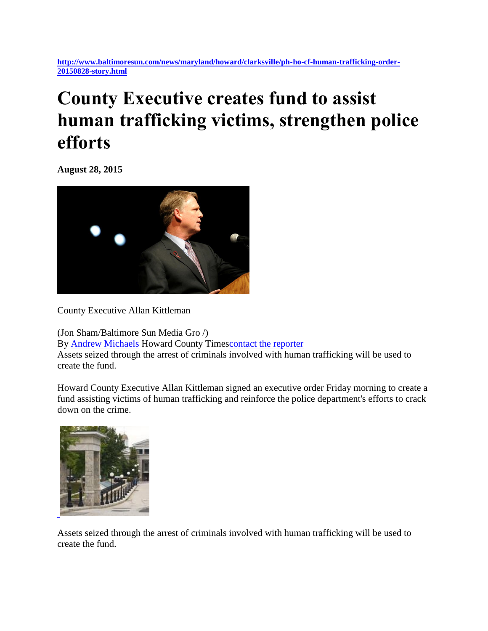**[http://www.baltimoresun.com/news/maryland/howard/clarksville/ph-ho-cf-human-trafficking-order-](http://www.baltimoresun.com/news/maryland/howard/clarksville/ph-ho-cf-human-trafficking-order-20150828-story.html)[20150828-story.html](http://www.baltimoresun.com/news/maryland/howard/clarksville/ph-ho-cf-human-trafficking-order-20150828-story.html)**

## **County Executive creates fund to assist human trafficking victims, strengthen police efforts**

**August 28, 2015**



County Executive Allan Kittleman

(Jon Sham/Baltimore Sun Media Gro /) By [Andrew Michaels](http://www.baltimoresun.com/ph-bsmg-andrew-michaels-bio-20150513-staff.html#navtype=byline) Howard County Time[scontact the reporter](mailto:anmichaels@baltsun.com?subject=Regarding%20County%20Executive%20creates%20fund%20to%20assist%20human%20trafficking%20victims,%20strengthen%20police%20efforts) Assets seized through the arrest of criminals involved with human trafficking will be used to create the fund.

Howard County Executive Allan Kittleman signed an executive order Friday morning to create a fund assisting victims of human trafficking and reinforce the police department's efforts to crack down on the crime.



Assets seized through the arrest of criminals involved with human trafficking will be used to create the fund.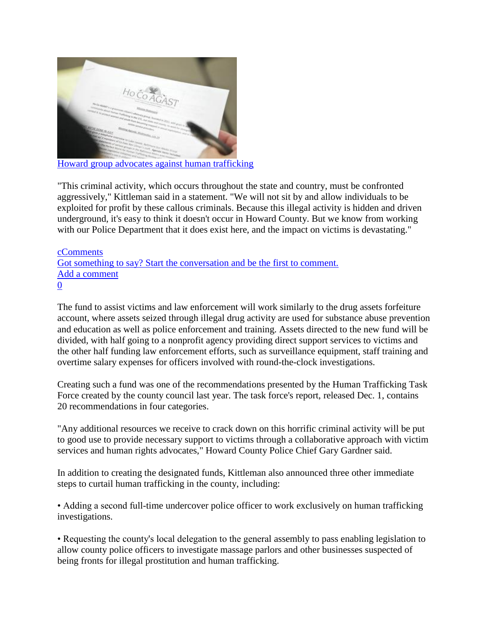

"This criminal activity, which occurs throughout the state and country, must be confronted aggressively," Kittleman said in a statement. "We will not sit by and allow individuals to be exploited for profit by these callous criminals. Because this illegal activity is hidden and driven underground, it's easy to think it doesn't occur in Howard County. But we know from working with our Police Department that it does exist here, and the impact on victims is devastating."

[cComments](http://www.baltimoresun.com/news/maryland/howard/clarksville/ph-ho-cf-human-trafficking-order-20150828-story.html) [Got something to say? Start the conversation and be the first to comment.](http://www.baltimoresun.com/news/maryland/howard/clarksville/ph-ho-cf-human-trafficking-order-20150828-story.html) [Add a comment](http://www.baltimoresun.com/news/maryland/howard/clarksville/ph-ho-cf-human-trafficking-order-20150828-story.html) [0](http://www.baltimoresun.com/news/maryland/howard/clarksville/ph-ho-cf-human-trafficking-order-20150828-story.html)

The fund to assist victims and law enforcement will work similarly to the drug assets forfeiture account, where assets seized through illegal drug activity are used for substance abuse prevention and education as well as police enforcement and training. Assets directed to the new fund will be divided, with half going to a nonprofit agency providing direct support services to victims and the other half funding law enforcement efforts, such as surveillance equipment, staff training and overtime salary expenses for officers involved with round-the-clock investigations.

Creating such a fund was one of the recommendations presented by the Human Trafficking Task Force created by the county council last year. The task force's report, released Dec. 1, contains 20 recommendations in four categories.

"Any additional resources we receive to crack down on this horrific criminal activity will be put to good use to provide necessary support to victims through a collaborative approach with victim services and human rights advocates," Howard County Police Chief Gary Gardner said.

In addition to creating the designated funds, Kittleman also announced three other immediate steps to curtail human trafficking in the county, including:

• Adding a second full-time undercover police officer to work exclusively on human trafficking investigations.

• Requesting the county's local delegation to the general assembly to pass enabling legislation to allow county police officers to investigate massage parlors and other businesses suspected of being fronts for illegal prostitution and human trafficking.